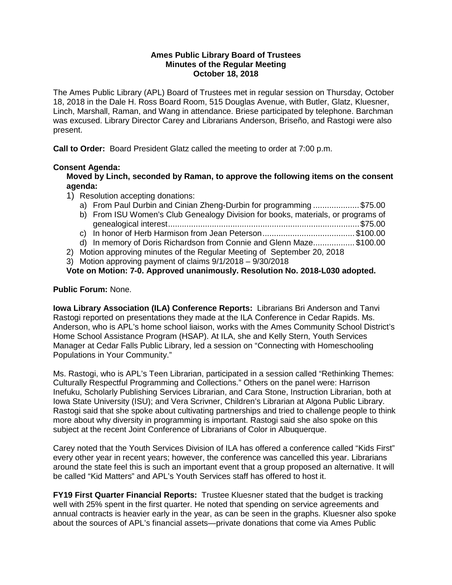#### **Ames Public Library Board of Trustees Minutes of the Regular Meeting October 18, 2018**

The Ames Public Library (APL) Board of Trustees met in regular session on Thursday, October 18, 2018 in the Dale H. Ross Board Room, 515 Douglas Avenue, with Butler, Glatz, Kluesner, Linch, Marshall, Raman, and Wang in attendance. Briese participated by telephone. Barchman was excused. Library Director Carey and Librarians Anderson, Briseño, and Rastogi were also present.

**Call to Order:** Board President Glatz called the meeting to order at 7:00 p.m.

## **Consent Agenda:**

**Moved by Linch, seconded by Raman, to approve the following items on the consent agenda:**

- 1) Resolution accepting donations:
	- a) From Paul Durbin and Cinian Zheng-Durbin for programming .................... \$75.00
	- b) From ISU Women's Club Genealogy Division for books, materials, or programs of genealogical interest...................................................................................\$75.00
	- c) In honor of Herb Harmison from Jean Peterson........................................ \$100.00
	- d) In memory of Doris Richardson from Connie and Glenn Maze.................. \$100.00
- 2) Motion approving minutes of the Regular Meeting of September 20, 2018
- 3) Motion approving payment of claims 9/1/2018 9/30/2018

**Vote on Motion: 7-0. Approved unanimously. Resolution No. 2018-L030 adopted.**

## **Public Forum:** None.

**Iowa Library Association (ILA) Conference Reports:** Librarians Bri Anderson and Tanvi Rastogi reported on presentations they made at the ILA Conference in Cedar Rapids. Ms. Anderson, who is APL's home school liaison, works with the Ames Community School District's Home School Assistance Program (HSAP). At ILA, she and Kelly Stern, Youth Services Manager at Cedar Falls Public Library, led a session on "Connecting with Homeschooling Populations in Your Community."

Ms. Rastogi, who is APL's Teen Librarian, participated in a session called "Rethinking Themes: Culturally Respectful Programming and Collections." Others on the panel were: Harrison Inefuku, Scholarly Publishing Services Librarian, and Cara Stone, Instruction Librarian, both at Iowa State University (ISU); and Vera Scrivner, Children's Librarian at Algona Public Library. Rastogi said that she spoke about cultivating partnerships and tried to challenge people to think more about why diversity in programming is important. Rastogi said she also spoke on this subject at the recent Joint Conference of Librarians of Color in Albuquerque.

Carey noted that the Youth Services Division of ILA has offered a conference called "Kids First" every other year in recent years; however, the conference was cancelled this year. Librarians around the state feel this is such an important event that a group proposed an alternative. It will be called "Kid Matters" and APL's Youth Services staff has offered to host it.

**FY19 First Quarter Financial Reports:** Trustee Kluesner stated that the budget is tracking well with 25% spent in the first quarter. He noted that spending on service agreements and annual contracts is heavier early in the year, as can be seen in the graphs. Kluesner also spoke about the sources of APL's financial assets—private donations that come via Ames Public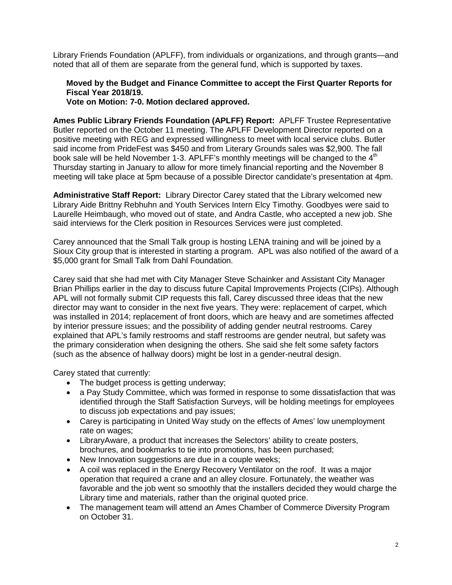Library Friends Foundation (APLFF), from individuals or organizations, and through grants—and noted that all of them are separate from the general fund, which is supported by taxes.

# **Moved by the Budget and Finance Committee to accept the First Quarter Reports for Fiscal Year 2018/19.**

**Vote on Motion: 7-0. Motion declared approved.**

**Ames Public Library Friends Foundation (APLFF) Report:** APLFF Trustee Representative Butler reported on the October 11 meeting. The APLFF Development Director reported on a positive meeting with REG and expressed willingness to meet with local service clubs. Butler said income from PrideFest was \$450 and from Literary Grounds sales was \$2,900. The fall book sale will be held November 1-3. APLFF's monthly meetings will be changed to the 4<sup>th</sup> Thursday starting in January to allow for more timely financial reporting and the November 8 meeting will take place at 5pm because of a possible Director candidate's presentation at 4pm.

**Administrative Staff Report:** Library Director Carey stated that the Library welcomed new Library Aide Brittny Rebhuhn and Youth Services Intern Elcy Timothy. Goodbyes were said to Laurelle Heimbaugh, who moved out of state, and Andra Castle, who accepted a new job. She said interviews for the Clerk position in Resources Services were just completed.

Carey announced that the Small Talk group is hosting LENA training and will be joined by a Sioux City group that is interested in starting a program. APL was also notified of the award of a \$5,000 grant for Small Talk from Dahl Foundation.

Carey said that she had met with City Manager Steve Schainker and Assistant City Manager Brian Phillips earlier in the day to discuss future Capital Improvements Projects (CIPs). Although APL will not formally submit CIP requests this fall, Carey discussed three ideas that the new director may want to consider in the next five years. They were: replacement of carpet, which was installed in 2014; replacement of front doors, which are heavy and are sometimes affected by interior pressure issues; and the possibility of adding gender neutral restrooms. Carey explained that APL's family restrooms and staff restrooms are gender neutral, but safety was the primary consideration when designing the others. She said she felt some safety factors (such as the absence of hallway doors) might be lost in a gender-neutral design.

Carey stated that currently:

- The budget process is getting underway;
- a Pay Study Committee, which was formed in response to some dissatisfaction that was identified through the Staff Satisfaction Surveys, will be holding meetings for employees to discuss job expectations and pay issues;
- Carey is participating in United Way study on the effects of Ames' low unemployment rate on wages;
- LibraryAware, a product that increases the Selectors' ability to create posters, brochures, and bookmarks to tie into promotions, has been purchased;
- New Innovation suggestions are due in a couple weeks;
- A coil was replaced in the Energy Recovery Ventilator on the roof. It was a major operation that required a crane and an alley closure. Fortunately, the weather was favorable and the job went so smoothly that the installers decided they would charge the Library time and materials, rather than the original quoted price.
- The management team will attend an Ames Chamber of Commerce Diversity Program on October 31.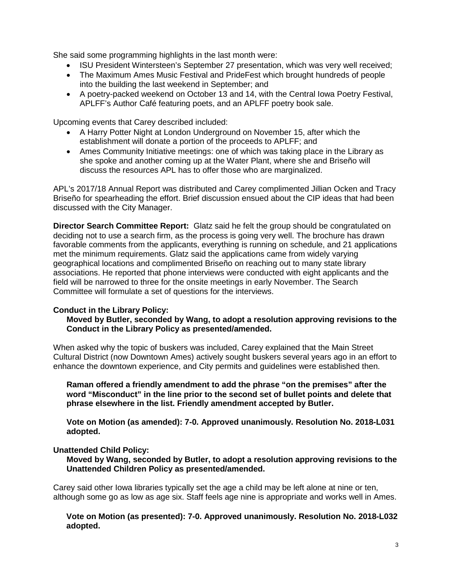She said some programming highlights in the last month were:

- ISU President Wintersteen's September 27 presentation, which was very well received;
- The Maximum Ames Music Festival and PrideFest which brought hundreds of people into the building the last weekend in September; and
- A poetry-packed weekend on October 13 and 14, with the Central Iowa Poetry Festival, APLFF's Author Café featuring poets, and an APLFF poetry book sale.

Upcoming events that Carey described included:

- A Harry Potter Night at London Underground on November 15, after which the establishment will donate a portion of the proceeds to APLFF; and
- Ames Community Initiative meetings: one of which was taking place in the Library as she spoke and another coming up at the Water Plant, where she and Briseño will discuss the resources APL has to offer those who are marginalized.

APL's 2017/18 Annual Report was distributed and Carey complimented Jillian Ocken and Tracy Briseño for spearheading the effort. Brief discussion ensued about the CIP ideas that had been discussed with the City Manager.

**Director Search Committee Report:** Glatz said he felt the group should be congratulated on deciding not to use a search firm, as the process is going very well. The brochure has drawn favorable comments from the applicants, everything is running on schedule, and 21 applications met the minimum requirements. Glatz said the applications came from widely varying geographical locations and complimented Briseño on reaching out to many state library associations. He reported that phone interviews were conducted with eight applicants and the field will be narrowed to three for the onsite meetings in early November. The Search Committee will formulate a set of questions for the interviews.

## **Conduct in the Library Policy:**

## **Moved by Butler, seconded by Wang, to adopt a resolution approving revisions to the Conduct in the Library Policy as presented/amended.**

When asked why the topic of buskers was included, Carey explained that the Main Street Cultural District (now Downtown Ames) actively sought buskers several years ago in an effort to enhance the downtown experience, and City permits and guidelines were established then.

**Raman offered a friendly amendment to add the phrase "on the premises" after the word "Misconduct" in the line prior to the second set of bullet points and delete that phrase elsewhere in the list. Friendly amendment accepted by Butler.**

**Vote on Motion (as amended): 7-0. Approved unanimously. Resolution No. 2018-L031 adopted.**

## **Unattended Child Policy:**

**Moved by Wang, seconded by Butler, to adopt a resolution approving revisions to the Unattended Children Policy as presented/amended.**

Carey said other Iowa libraries typically set the age a child may be left alone at nine or ten, although some go as low as age six. Staff feels age nine is appropriate and works well in Ames.

**Vote on Motion (as presented): 7-0. Approved unanimously. Resolution No. 2018-L032 adopted.**